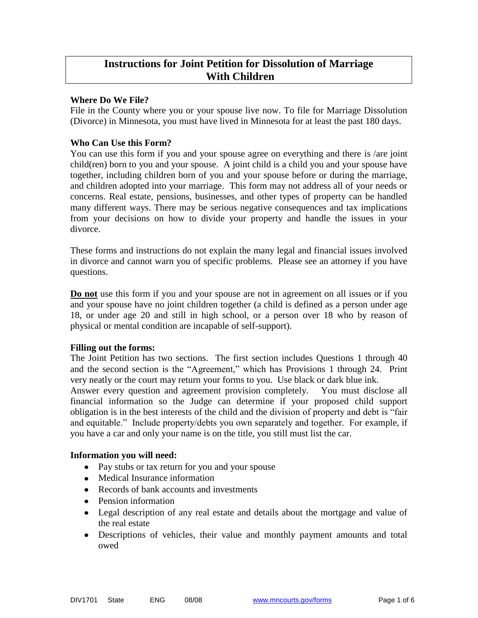# **Instructions for Joint Petition for Dissolution of Marriage With Children**

## **Where Do We File?**

File in the County where you or your spouse live now. To file for Marriage Dissolution (Divorce) in Minnesota, you must have lived in Minnesota for at least the past 180 days.

## **Who Can Use this Form?**

You can use this form if you and your spouse agree on everything and there is /are joint child(ren) born to you and your spouse. A joint child is a child you and your spouse have together, including children born of you and your spouse before or during the marriage, and children adopted into your marriage. This form may not address all of your needs or concerns. Real estate, pensions, businesses, and other types of property can be handled many different ways. There may be serious negative consequences and tax implications from your decisions on how to divide your property and handle the issues in your divorce.

These forms and instructions do not explain the many legal and financial issues involved in divorce and cannot warn you of specific problems. Please see an attorney if you have questions.

**Do not** use this form if you and your spouse are not in agreement on all issues or if you and your spouse have no joint children together (a child is defined as a person under age 18, or under age 20 and still in high school, or a person over 18 who by reason of physical or mental condition are incapable of self-support).

## **Filling out the forms:**

The Joint Petition has two sections. The first section includes Questions 1 through 40 and the second section is the "Agreement," which has Provisions 1 through 24. Print very neatly or the court may return your forms to you. Use black or dark blue ink.

Answer every question and agreement provision completely. You must disclose all financial information so the Judge can determine if your proposed child support obligation is in the best interests of the child and the division of property and debt is "fair and equitable." Include property/debts you own separately and together. For example, if you have a car and only your name is on the title, you still must list the car.

## **Information you will need:**

- Pay stubs or tax return for you and your spouse
- Medical Insurance information
- Records of bank accounts and investments
- Pension information
- Legal description of any real estate and details about the mortgage and value of the real estate
- Descriptions of vehicles, their value and monthly payment amounts and total owed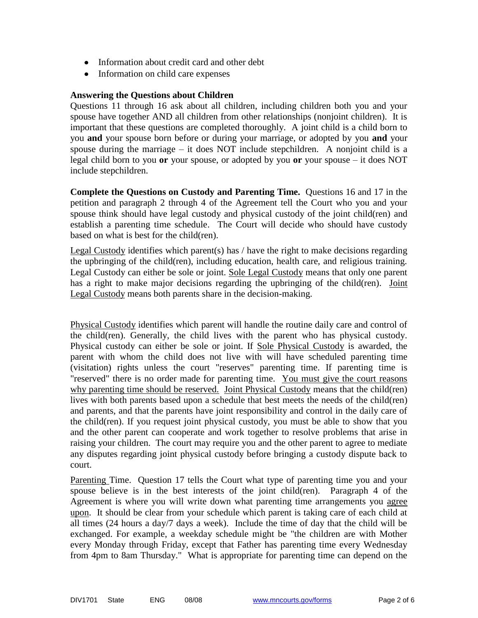- Information about credit card and other debt
- Information on child care expenses

## **Answering the Questions about Children**

Questions 11 through 16 ask about all children, including children both you and your spouse have together AND all children from other relationships (nonjoint children). It is important that these questions are completed thoroughly. A joint child is a child born to you **and** your spouse born before or during your marriage, or adopted by you **and** your spouse during the marriage  $-$  it does NOT include stepchildren. A nonjoint child is a legal child born to you **or** your spouse, or adopted by you **or** your spouse – it does NOT include stepchildren.

**Complete the Questions on Custody and Parenting Time.** Questions 16 and 17 in the petition and paragraph 2 through 4 of the Agreement tell the Court who you and your spouse think should have legal custody and physical custody of the joint child(ren) and establish a parenting time schedule. The Court will decide who should have custody based on what is best for the child(ren).

Legal Custody identifies which parent(s) has  $/$  have the right to make decisions regarding the upbringing of the child(ren), including education, health care, and religious training. Legal Custody can either be sole or joint. Sole Legal Custody means that only one parent has a right to make major decisions regarding the upbringing of the child(ren). Joint Legal Custody means both parents share in the decision-making.

Physical Custody identifies which parent will handle the routine daily care and control of the child(ren). Generally, the child lives with the parent who has physical custody. Physical custody can either be sole or joint. If Sole Physical Custody is awarded, the parent with whom the child does not live with will have scheduled parenting time (visitation) rights unless the court "reserves" parenting time. If parenting time is "reserved" there is no order made for parenting time. You must give the court reasons why parenting time should be reserved. Joint Physical Custody means that the child(ren) lives with both parents based upon a schedule that best meets the needs of the child(ren) and parents, and that the parents have joint responsibility and control in the daily care of the child(ren). If you request joint physical custody, you must be able to show that you and the other parent can cooperate and work together to resolve problems that arise in raising your children. The court may require you and the other parent to agree to mediate any disputes regarding joint physical custody before bringing a custody dispute back to court.

Parenting Time. Question 17 tells the Court what type of parenting time you and your spouse believe is in the best interests of the joint child(ren). Paragraph 4 of the Agreement is where you will write down what parenting time arrangements you agree upon. It should be clear from your schedule which parent is taking care of each child at all times (24 hours a day/7 days a week). Include the time of day that the child will be exchanged. For example, a weekday schedule might be "the children are with Mother every Monday through Friday, except that Father has parenting time every Wednesday from 4pm to 8am Thursday." What is appropriate for parenting time can depend on the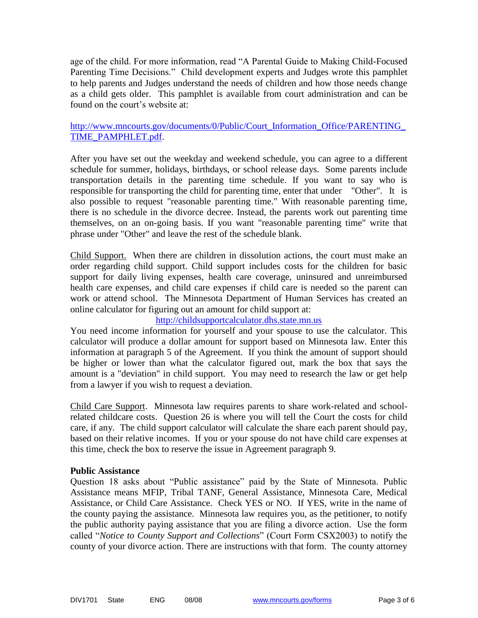age of the child. For more information, read "A Parental Guide to Making Child-Focused Parenting Time Decisions." Child development experts and Judges wrote this pamphlet to help parents and Judges understand the needs of children and how those needs change as a child gets older. This pamphlet is available from court administration and can be found on the court's website at:

## [http://www.mncourts.gov/documents/0/Public/Court\\_Information\\_Office/PARENTING\\_](http://www.mncourts.gov/documents/0/Public/Court_Information_Office/PARENTING_TIME_PAMPHLET.pdf) [TIME\\_PAMPHLET.pdf.](http://www.mncourts.gov/documents/0/Public/Court_Information_Office/PARENTING_TIME_PAMPHLET.pdf)

After you have set out the weekday and weekend schedule, you can agree to a different schedule for summer, holidays, birthdays, or school release days. Some parents include transportation details in the parenting time schedule. If you want to say who is responsible for transporting the child for parenting time, enter that under "Other". It is also possible to request "reasonable parenting time." With reasonable parenting time, there is no schedule in the divorce decree. Instead, the parents work out parenting time themselves, on an on-going basis. If you want "reasonable parenting time" write that phrase under "Other" and leave the rest of the schedule blank.

Child Support. When there are children in dissolution actions, the court must make an order regarding child support. Child support includes costs for the children for basic support for daily living expenses, health care coverage, uninsured and unreimbursed health care expenses, and child care expenses if child care is needed so the parent can work or attend school. The Minnesota Department of Human Services has created an online calculator for figuring out an amount for child support at:

[http://childsupportcalculator.dhs.state.mn.us](http://childsupportcalculator.dhs.state.mn.us/)

You need income information for yourself and your spouse to use the calculator. This calculator will produce a dollar amount for support based on Minnesota law. Enter this information at paragraph 5 of the Agreement. If you think the amount of support should be higher or lower than what the calculator figured out, mark the box that says the amount is a "deviation" in child support. You may need to research the law or get help from a lawyer if you wish to request a deviation.

Child Care Support. Minnesota law requires parents to share work-related and schoolrelated childcare costs. Question 26 is where you will tell the Court the costs for child care, if any. The child support calculator will calculate the share each parent should pay, based on their relative incomes. If you or your spouse do not have child care expenses at this time, check the box to reserve the issue in Agreement paragraph 9.

## **Public Assistance**

Question 18 asks about "Public assistance" paid by the State of Minnesota. Public Assistance means MFIP, Tribal TANF, General Assistance, Minnesota Care, Medical Assistance, or Child Care Assistance. Check YES or NO. If YES, write in the name of the county paying the assistance. Minnesota law requires you, as the petitioner, to notify the public authority paying assistance that you are filing a divorce action. Use the form called "*Notice to County Support and Collections*" (Court Form CSX2003) to notify the county of your divorce action. There are instructions with that form. The county attorney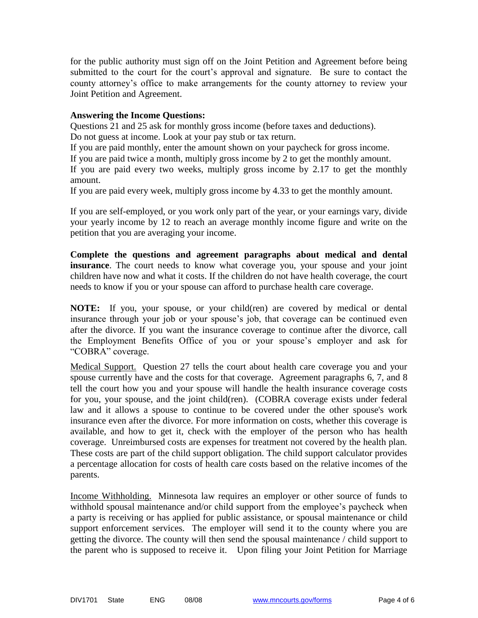for the public authority must sign off on the Joint Petition and Agreement before being submitted to the court for the court's approval and signature. Be sure to contact the county attorney's office to make arrangements for the county attorney to review your Joint Petition and Agreement.

## **Answering the Income Questions:**

Questions 21 and 25 ask for monthly gross income (before taxes and deductions). Do not guess at income. Look at your pay stub or tax return.

If you are paid monthly, enter the amount shown on your paycheck for gross income.

If you are paid twice a month, multiply gross income by 2 to get the monthly amount.

If you are paid every two weeks, multiply gross income by 2.17 to get the monthly amount.

If you are paid every week, multiply gross income by 4.33 to get the monthly amount.

If you are self-employed, or you work only part of the year, or your earnings vary, divide your yearly income by 12 to reach an average monthly income figure and write on the petition that you are averaging your income.

**Complete the questions and agreement paragraphs about medical and dental insurance**. The court needs to know what coverage you, your spouse and your joint children have now and what it costs. If the children do not have health coverage, the court needs to know if you or your spouse can afford to purchase health care coverage.

**NOTE:** If you, your spouse, or your child(ren) are covered by medical or dental insurance through your job or your spouse's job, that coverage can be continued even after the divorce. If you want the insurance coverage to continue after the divorce, call the Employment Benefits Office of you or your spouse's employer and ask for "COBRA" coverage.

Medical Support. Question 27 tells the court about health care coverage you and your spouse currently have and the costs for that coverage. Agreement paragraphs 6, 7, and 8 tell the court how you and your spouse will handle the health insurance coverage costs for you, your spouse, and the joint child(ren). (COBRA coverage exists under federal law and it allows a spouse to continue to be covered under the other spouse's work insurance even after the divorce. For more information on costs, whether this coverage is available, and how to get it, check with the employer of the person who has health coverage. Unreimbursed costs are expenses for treatment not covered by the health plan. These costs are part of the child support obligation. The child support calculator provides a percentage allocation for costs of health care costs based on the relative incomes of the parents.

Income Withholding. Minnesota law requires an employer or other source of funds to withhold spousal maintenance and/or child support from the employee's paycheck when a party is receiving or has applied for public assistance, or spousal maintenance or child support enforcement services. The employer will send it to the county where you are getting the divorce. The county will then send the spousal maintenance / child support to the parent who is supposed to receive it. Upon filing your Joint Petition for Marriage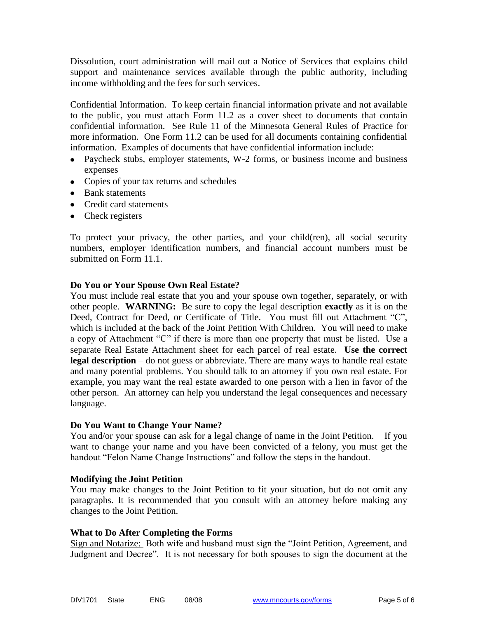Dissolution, court administration will mail out a Notice of Services that explains child support and maintenance services available through the public authority, including income withholding and the fees for such services.

Confidential Information. To keep certain financial information private and not available to the public, you must attach Form 11.2 as a cover sheet to documents that contain confidential information. See Rule 11 of the Minnesota General Rules of Practice for more information. One Form 11.2 can be used for all documents containing confidential information. Examples of documents that have confidential information include:

- Paycheck stubs, employer statements, W-2 forms, or business income and business expenses
- Copies of your tax returns and schedules
- Bank statements
- Credit card statements
- Check registers

To protect your privacy, the other parties, and your child(ren), all social security numbers, employer identification numbers, and financial account numbers must be submitted on Form 11.1.

## **Do You or Your Spouse Own Real Estate?**

You must include real estate that you and your spouse own together, separately, or with other people. **WARNING:** Be sure to copy the legal description **exactly** as it is on the Deed, Contract for Deed, or Certificate of Title. You must fill out Attachment "C", which is included at the back of the Joint Petition With Children. You will need to make a copy of Attachment "C" if there is more than one property that must be listed. Use a separate Real Estate Attachment sheet for each parcel of real estate. **Use the correct legal description** – do not guess or abbreviate. There are many ways to handle real estate and many potential problems. You should talk to an attorney if you own real estate. For example, you may want the real estate awarded to one person with a lien in favor of the other person. An attorney can help you understand the legal consequences and necessary language.

## **Do You Want to Change Your Name?**

You and/or your spouse can ask for a legal change of name in the Joint Petition. If you want to change your name and you have been convicted of a felony, you must get the handout "Felon Name Change Instructions" and follow the steps in the handout.

## **Modifying the Joint Petition**

You may make changes to the Joint Petition to fit your situation, but do not omit any paragraphs. It is recommended that you consult with an attorney before making any changes to the Joint Petition.

## **What to Do After Completing the Forms**

Sign and Notarize: Both wife and husband must sign the "Joint Petition, Agreement, and Judgment and Decree". It is not necessary for both spouses to sign the document at the